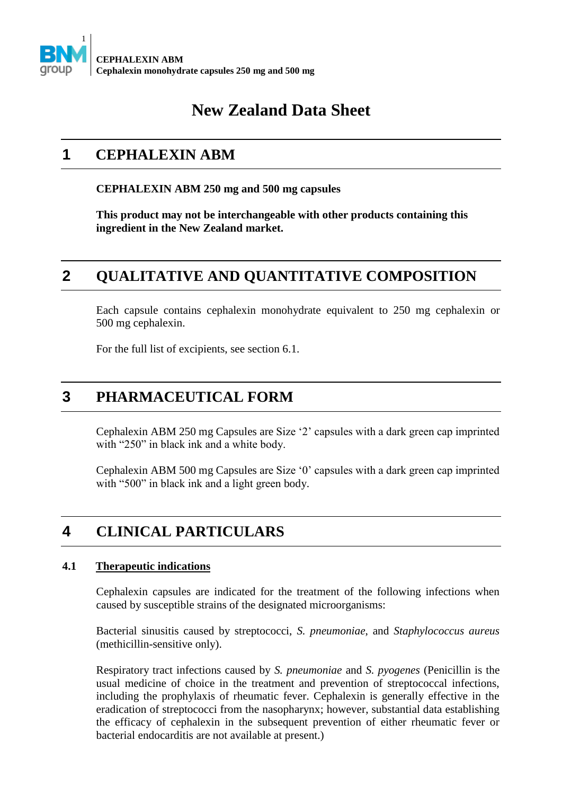

# **New Zealand Data Sheet**

# **1 CEPHALEXIN ABM**

#### **CEPHALEXIN ABM 250 mg and 500 mg capsules**

**This product may not be interchangeable with other products containing this ingredient in the New Zealand market.** 

# **2 QUALITATIVE AND QUANTITATIVE COMPOSITION**

Each capsule contains cephalexin monohydrate equivalent to 250 mg cephalexin or 500 mg cephalexin.

For the full list of excipients, see section 6.1.

## **3 PHARMACEUTICAL FORM**

Cephalexin ABM 250 mg Capsules are Size '2' capsules with a dark green cap imprinted with "250" in black ink and a white body.

Cephalexin ABM 500 mg Capsules are Size '0' capsules with a dark green cap imprinted with "500" in black ink and a light green body.

# **4 CLINICAL PARTICULARS**

### **4.1 Therapeutic indications**

Cephalexin capsules are indicated for the treatment of the following infections when caused by susceptible strains of the designated microorganisms:

Bacterial sinusitis caused by streptococci, *S. pneumoniae*, and *Staphylococcus aureus* (methicillin-sensitive only).

Respiratory tract infections caused by *S. pneumoniae* and *S. pyogenes* (Penicillin is the usual medicine of choice in the treatment and prevention of streptococcal infections, including the prophylaxis of rheumatic fever. Cephalexin is generally effective in the eradication of streptococci from the nasopharynx; however, substantial data establishing the efficacy of cephalexin in the subsequent prevention of either rheumatic fever or bacterial endocarditis are not available at present.)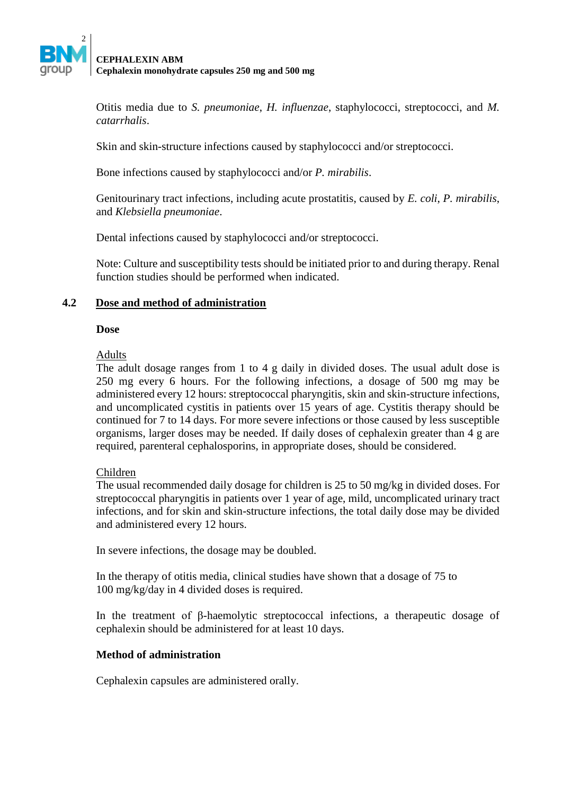

Otitis media due to *S. pneumoniae*, *H. influenzae*, staphylococci, streptococci, and *M. catarrhalis*.

Skin and skin-structure infections caused by staphylococci and/or streptococci.

Bone infections caused by staphylococci and/or *P. mirabilis*.

Genitourinary tract infections, including acute prostatitis, caused by *E. coli*, *P. mirabilis*, and *Klebsiella pneumoniae*.

Dental infections caused by staphylococci and/or streptococci.

Note: Culture and susceptibility tests should be initiated prior to and during therapy. Renal function studies should be performed when indicated.

#### **4.2 Dose and method of administration**

#### **Dose**

## Adults

The adult dosage ranges from 1 to 4 g daily in divided doses. The usual adult dose is 250 mg every 6 hours. For the following infections, a dosage of 500 mg may be administered every 12 hours: streptococcal pharyngitis, skin and skin-structure infections, and uncomplicated cystitis in patients over 15 years of age. Cystitis therapy should be continued for 7 to 14 days. For more severe infections or those caused by less susceptible organisms, larger doses may be needed. If daily doses of cephalexin greater than 4 g are required, parenteral cephalosporins, in appropriate doses, should be considered.

#### Children

The usual recommended daily dosage for children is 25 to 50 mg/kg in divided doses. For streptococcal pharyngitis in patients over 1 year of age, mild, uncomplicated urinary tract infections, and for skin and skin-structure infections, the total daily dose may be divided and administered every 12 hours.

In severe infections, the dosage may be doubled.

In the therapy of otitis media, clinical studies have shown that a dosage of 75 to 100 mg/kg/day in 4 divided doses is required.

In the treatment of β-haemolytic streptococcal infections, a therapeutic dosage of cephalexin should be administered for at least 10 days.

#### **Method of administration**

Cephalexin capsules are administered orally.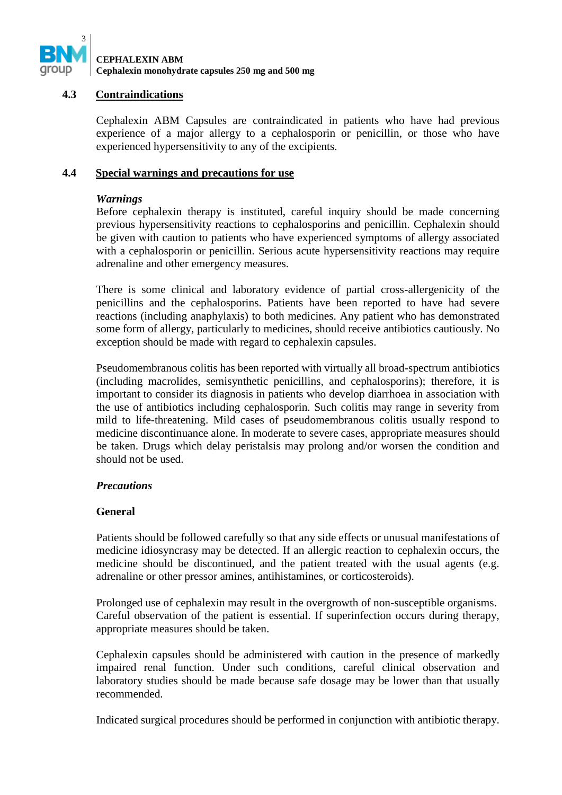

#### **4.3 Contraindications**

Cephalexin ABM Capsules are contraindicated in patients who have had previous experience of a major allergy to a cephalosporin or penicillin, or those who have experienced hypersensitivity to any of the excipients.

### **4.4 Special warnings and precautions for use**

## *Warnings*

Before cephalexin therapy is instituted, careful inquiry should be made concerning previous hypersensitivity reactions to cephalosporins and penicillin. Cephalexin should be given with caution to patients who have experienced symptoms of allergy associated with a cephalosporin or penicillin. Serious acute hypersensitivity reactions may require adrenaline and other emergency measures.

There is some clinical and laboratory evidence of partial cross-allergenicity of the penicillins and the cephalosporins. Patients have been reported to have had severe reactions (including anaphylaxis) to both medicines. Any patient who has demonstrated some form of allergy, particularly to medicines, should receive antibiotics cautiously. No exception should be made with regard to cephalexin capsules.

Pseudomembranous colitis has been reported with virtually all broad-spectrum antibiotics (including macrolides, semisynthetic penicillins, and cephalosporins); therefore, it is important to consider its diagnosis in patients who develop diarrhoea in association with the use of antibiotics including cephalosporin. Such colitis may range in severity from mild to life-threatening. Mild cases of pseudomembranous colitis usually respond to medicine discontinuance alone. In moderate to severe cases, appropriate measures should be taken. Drugs which delay peristalsis may prolong and/or worsen the condition and should not be used.

#### *Precautions*

## **General**

Patients should be followed carefully so that any side effects or unusual manifestations of medicine idiosyncrasy may be detected. If an allergic reaction to cephalexin occurs, the medicine should be discontinued, and the patient treated with the usual agents (e.g. adrenaline or other pressor amines, antihistamines, or corticosteroids).

Prolonged use of cephalexin may result in the overgrowth of non-susceptible organisms. Careful observation of the patient is essential. If superinfection occurs during therapy, appropriate measures should be taken.

Cephalexin capsules should be administered with caution in the presence of markedly impaired renal function. Under such conditions, careful clinical observation and laboratory studies should be made because safe dosage may be lower than that usually recommended.

Indicated surgical procedures should be performed in conjunction with antibiotic therapy.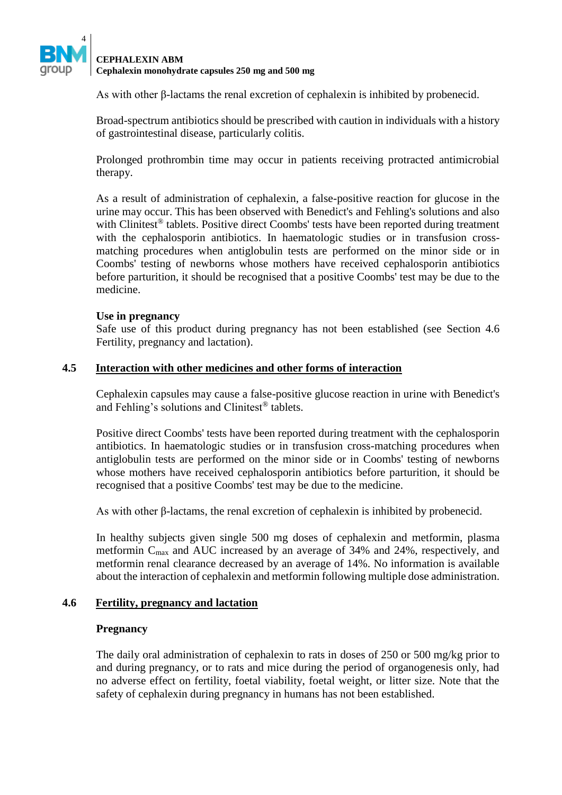

As with other β-lactams the renal excretion of cephalexin is inhibited by probenecid.

Broad-spectrum antibiotics should be prescribed with caution in individuals with a history of gastrointestinal disease, particularly colitis.

Prolonged prothrombin time may occur in patients receiving protracted antimicrobial therapy.

As a result of administration of cephalexin, a false-positive reaction for glucose in the urine may occur. This has been observed with Benedict's and Fehling's solutions and also with Clinitest<sup>®</sup> tablets. Positive direct Coombs' tests have been reported during treatment with the cephalosporin antibiotics. In haematologic studies or in transfusion crossmatching procedures when antiglobulin tests are performed on the minor side or in Coombs' testing of newborns whose mothers have received cephalosporin antibiotics before parturition, it should be recognised that a positive Coombs' test may be due to the medicine.

#### **Use in pregnancy**

Safe use of this product during pregnancy has not been established (see Section 4.6 Fertility, pregnancy and lactation).

#### **4.5 Interaction with other medicines and other forms of interaction**

Cephalexin capsules may cause a false-positive glucose reaction in urine with Benedict's and Fehling's solutions and Clinitest® tablets.

Positive direct Coombs' tests have been reported during treatment with the cephalosporin antibiotics. In haematologic studies or in transfusion cross-matching procedures when antiglobulin tests are performed on the minor side or in Coombs' testing of newborns whose mothers have received cephalosporin antibiotics before parturition, it should be recognised that a positive Coombs' test may be due to the medicine.

As with other β-lactams, the renal excretion of cephalexin is inhibited by probenecid.

In healthy subjects given single 500 mg doses of cephalexin and metformin, plasma metformin Cmax and AUC increased by an average of 34% and 24%, respectively, and metformin renal clearance decreased by an average of 14%. No information is available about the interaction of cephalexin and metformin following multiple dose administration.

#### **4.6 Fertility, pregnancy and lactation**

#### **Pregnancy**

The daily oral administration of cephalexin to rats in doses of 250 or 500 mg/kg prior to and during pregnancy, or to rats and mice during the period of organogenesis only, had no adverse effect on fertility, foetal viability, foetal weight, or litter size. Note that the safety of cephalexin during pregnancy in humans has not been established.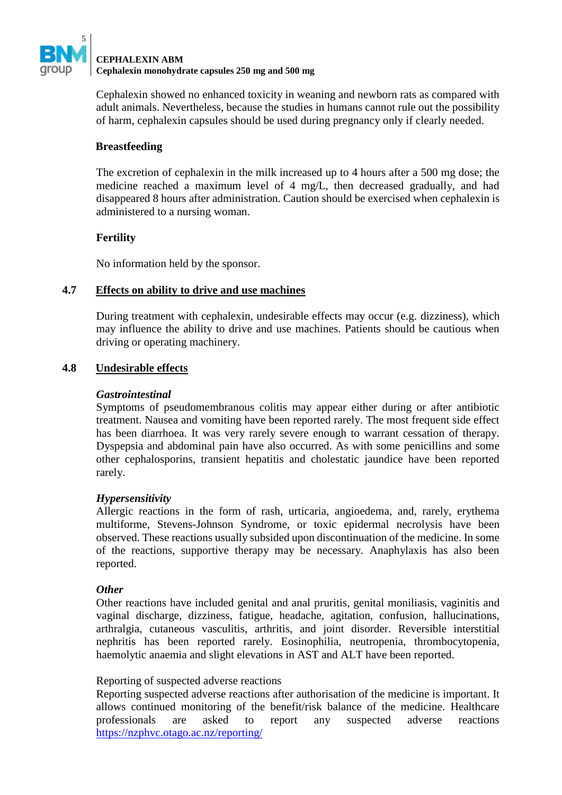

Cephalexin showed no enhanced toxicity in weaning and newborn rats as compared with adult animals. Nevertheless, because the studies in humans cannot rule out the possibility of harm, cephalexin capsules should be used during pregnancy only if clearly needed.

## **Breastfeeding**

The excretion of cephalexin in the milk increased up to 4 hours after a 500 mg dose; the medicine reached a maximum level of 4 mg/L, then decreased gradually, and had disappeared 8 hours after administration. Caution should be exercised when cephalexin is administered to a nursing woman.

## **Fertility**

No information held by the sponsor.

## **4.7 Effects on ability to drive and use machines**

During treatment with cephalexin, undesirable effects may occur (e.g. dizziness), which may influence the ability to drive and use machines. Patients should be cautious when driving or operating machinery.

## **4.8 Undesirable effects**

### *Gastrointestinal*

Symptoms of pseudomembranous colitis may appear either during or after antibiotic treatment. Nausea and vomiting have been reported rarely. The most frequent side effect has been diarrhoea. It was very rarely severe enough to warrant cessation of therapy. Dyspepsia and abdominal pain have also occurred. As with some penicillins and some other cephalosporins, transient hepatitis and cholestatic jaundice have been reported rarely.

#### *Hypersensitivity*

Allergic reactions in the form of rash, urticaria, angioedema, and, rarely, erythema multiforme, Stevens-Johnson Syndrome, or toxic epidermal necrolysis have been observed. These reactions usually subsided upon discontinuation of the medicine. In some of the reactions, supportive therapy may be necessary. Anaphylaxis has also been reported.

#### *Other*

Other reactions have included genital and anal pruritis, genital moniliasis, vaginitis and vaginal discharge, dizziness, fatigue, headache, agitation, confusion, hallucinations, arthralgia, cutaneous vasculitis, arthritis, and joint disorder. Reversible interstitial nephritis has been reported rarely. Eosinophilia, neutropenia, thrombocytopenia, haemolytic anaemia and slight elevations in AST and ALT have been reported.

#### Reporting of suspected adverse reactions

Reporting suspected adverse reactions after authorisation of the medicine is important. It allows continued monitoring of the benefit/risk balance of the medicine. Healthcare professionals are asked to report any suspected adverse reactions <https://nzphvc.otago.ac.nz/reporting/>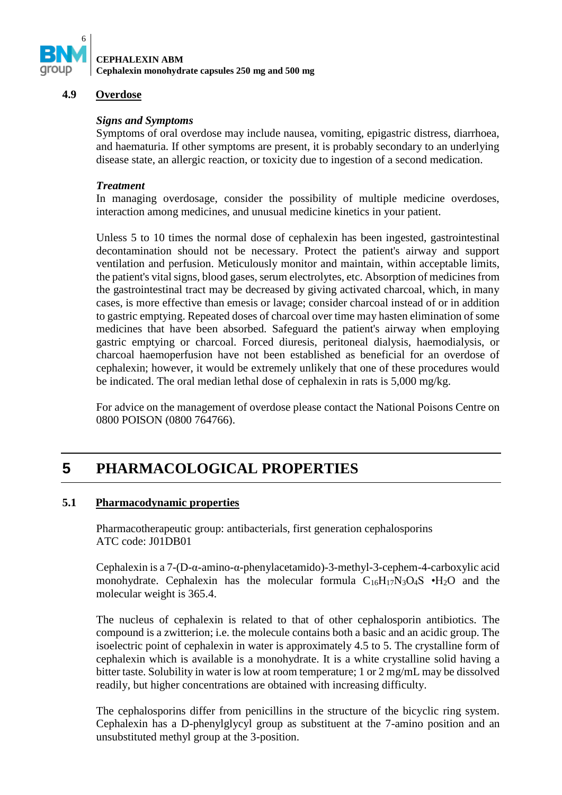

#### **4.9 Overdose**

#### *Signs and Symptoms*

Symptoms of oral overdose may include nausea, vomiting, epigastric distress, diarrhoea, and haematuria. If other symptoms are present, it is probably secondary to an underlying disease state, an allergic reaction, or toxicity due to ingestion of a second medication.

#### *Treatment*

In managing overdosage, consider the possibility of multiple medicine overdoses, interaction among medicines, and unusual medicine kinetics in your patient.

Unless 5 to 10 times the normal dose of cephalexin has been ingested, gastrointestinal decontamination should not be necessary. Protect the patient's airway and support ventilation and perfusion. Meticulously monitor and maintain, within acceptable limits, the patient's vital signs, blood gases, serum electrolytes, etc. Absorption of medicines from the gastrointestinal tract may be decreased by giving activated charcoal, which, in many cases, is more effective than emesis or lavage; consider charcoal instead of or in addition to gastric emptying. Repeated doses of charcoal over time may hasten elimination of some medicines that have been absorbed. Safeguard the patient's airway when employing gastric emptying or charcoal. Forced diuresis, peritoneal dialysis, haemodialysis, or charcoal haemoperfusion have not been established as beneficial for an overdose of cephalexin; however, it would be extremely unlikely that one of these procedures would be indicated. The oral median lethal dose of cephalexin in rats is 5,000 mg/kg.

For advice on the management of overdose please contact the National Poisons Centre on 0800 POISON (0800 764766).

# **5 PHARMACOLOGICAL PROPERTIES**

#### **5.1 Pharmacodynamic properties**

Pharmacotherapeutic group: antibacterials, first generation cephalosporins ATC code: J01DB01

Cephalexin is a 7-(D-α-amino-α-phenylacetamido)-3-methyl-3-cephem-4-carboxylic acid monohydrate. Cephalexin has the molecular formula  $C_{16}H_{17}N_3O_4S \cdot H_2O$  and the molecular weight is 365.4.

The nucleus of cephalexin is related to that of other cephalosporin antibiotics. The compound is a zwitterion; i.e. the molecule contains both a basic and an acidic group. The isoelectric point of cephalexin in water is approximately 4.5 to 5. The crystalline form of cephalexin which is available is a monohydrate. It is a white crystalline solid having a bitter taste. Solubility in water is low at room temperature; 1 or 2 mg/mL may be dissolved readily, but higher concentrations are obtained with increasing difficulty.

The cephalosporins differ from penicillins in the structure of the bicyclic ring system. Cephalexin has a D-phenylglycyl group as substituent at the 7-amino position and an unsubstituted methyl group at the 3-position.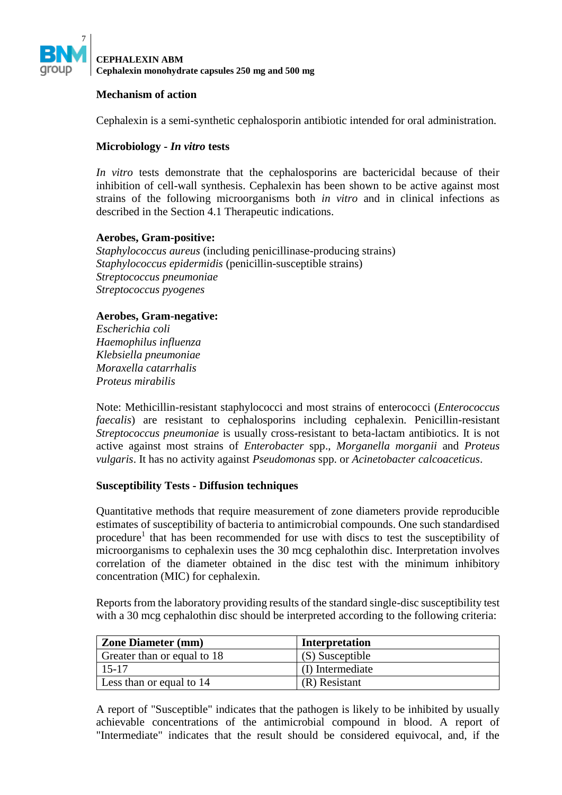

#### **Mechanism of action**

Cephalexin is a semi-synthetic cephalosporin antibiotic intended for oral administration.

### **Microbiology -** *In vitro* **tests**

*In vitro* tests demonstrate that the cephalosporins are bactericidal because of their inhibition of cell-wall synthesis. Cephalexin has been shown to be active against most strains of the following microorganisms both *in vitro* and in clinical infections as described in the Section 4.1 Therapeutic indications.

#### **Aerobes, Gram-positive:**

*Staphylococcus aureus* (including penicillinase-producing strains) *Staphylococcus epidermidis* (penicillin-susceptible strains) *Streptococcus pneumoniae Streptococcus pyogenes*

#### **Aerobes, Gram-negative:**

*Escherichia coli Haemophilus influenza Klebsiella pneumoniae Moraxella catarrhalis Proteus mirabilis*

Note: Methicillin-resistant staphylococci and most strains of enterococci (*Enterococcus faecalis*) are resistant to cephalosporins including cephalexin. Penicillin-resistant *Streptococcus pneumoniae* is usually cross-resistant to beta-lactam antibiotics. It is not active against most strains of *Enterobacter* spp., *Morganella morganii* and *Proteus vulgaris*. It has no activity against *Pseudomonas* spp. or *Acinetobacter calcoaceticus*.

#### **Susceptibility Tests - Diffusion techniques**

Quantitative methods that require measurement of zone diameters provide reproducible estimates of susceptibility of bacteria to antimicrobial compounds. One such standardised procedure<sup>1</sup> that has been recommended for use with discs to test the susceptibility of microorganisms to cephalexin uses the 30 mcg cephalothin disc. Interpretation involves correlation of the diameter obtained in the disc test with the minimum inhibitory concentration (MIC) for cephalexin.

Reports from the laboratory providing results of the standard single-disc susceptibility test with a 30 mcg cephalothin disc should be interpreted according to the following criteria:

| <b>Zone Diameter (mm)</b>   | <b>Interpretation</b> |
|-----------------------------|-----------------------|
| Greater than or equal to 18 | (S) Susceptible       |
| 15-17                       | (I) Intermediate      |
| Less than or equal to 14    | (R) Resistant         |

A report of "Susceptible" indicates that the pathogen is likely to be inhibited by usually achievable concentrations of the antimicrobial compound in blood. A report of "Intermediate" indicates that the result should be considered equivocal, and, if the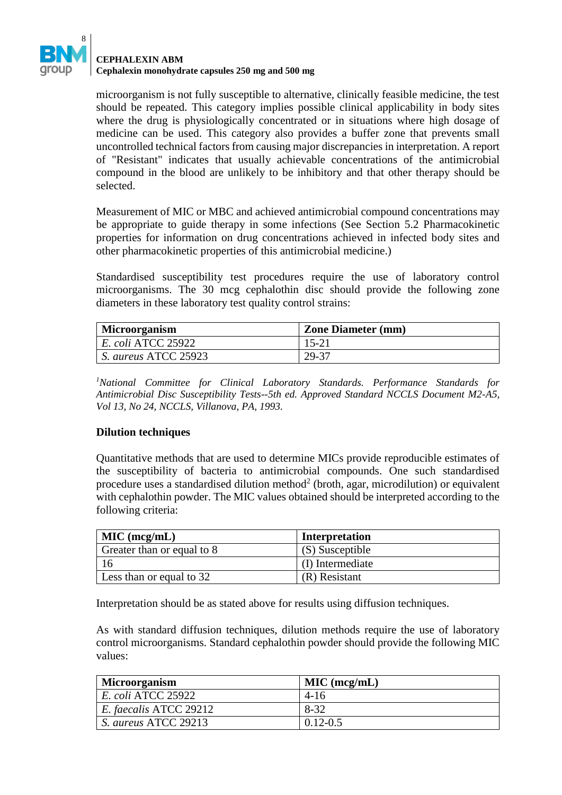

## **CEPHALEXIN ABM**

**Cephalexin monohydrate capsules 250 mg and 500 mg**

microorganism is not fully susceptible to alternative, clinically feasible medicine, the test should be repeated. This category implies possible clinical applicability in body sites where the drug is physiologically concentrated or in situations where high dosage of medicine can be used. This category also provides a buffer zone that prevents small uncontrolled technical factors from causing major discrepancies in interpretation. A report of "Resistant" indicates that usually achievable concentrations of the antimicrobial compound in the blood are unlikely to be inhibitory and that other therapy should be selected.

Measurement of MIC or MBC and achieved antimicrobial compound concentrations may be appropriate to guide therapy in some infections (See Section 5.2 Pharmacokinetic properties for information on drug concentrations achieved in infected body sites and other pharmacokinetic properties of this antimicrobial medicine.)

Standardised susceptibility test procedures require the use of laboratory control microorganisms. The 30 mcg cephalothin disc should provide the following zone diameters in these laboratory test quality control strains:

| <b>Microorganism</b>      | <b>Zone Diameter (mm)</b> |
|---------------------------|---------------------------|
| <i>E. coli ATCC 25922</i> | $15 - 21$                 |
| S. aureus ATCC 25923      | -29-37                    |

*<sup>1</sup>National Committee for Clinical Laboratory Standards. Performance Standards for Antimicrobial Disc Susceptibility Tests--5th ed. Approved Standard NCCLS Document M2-A5, Vol 13, No 24, NCCLS, Villanova, PA, 1993.* 

## **Dilution techniques**

Quantitative methods that are used to determine MICs provide reproducible estimates of the susceptibility of bacteria to antimicrobial compounds. One such standardised procedure uses a standardised dilution method<sup>2</sup> (broth, agar, microdilution) or equivalent with cephalothin powder. The MIC values obtained should be interpreted according to the following criteria:

| $ML$ (mcg/mL)              | <b>Interpretation</b> |
|----------------------------|-----------------------|
| Greater than or equal to 8 | (S) Susceptible       |
|                            | (I) Intermediate      |
| Less than or equal to 32   | $(R)$ Resistant       |

Interpretation should be as stated above for results using diffusion techniques.

As with standard diffusion techniques, dilution methods require the use of laboratory control microorganisms. Standard cephalothin powder should provide the following MIC values:

| Microorganism          | MIC (mcg/mL) |
|------------------------|--------------|
| E. coli ATCC 25922     | $4 - 16$     |
| E. faecalis ATCC 29212 | 8-32         |
| S. aureus ATCC 29213   | $0.12 - 0.5$ |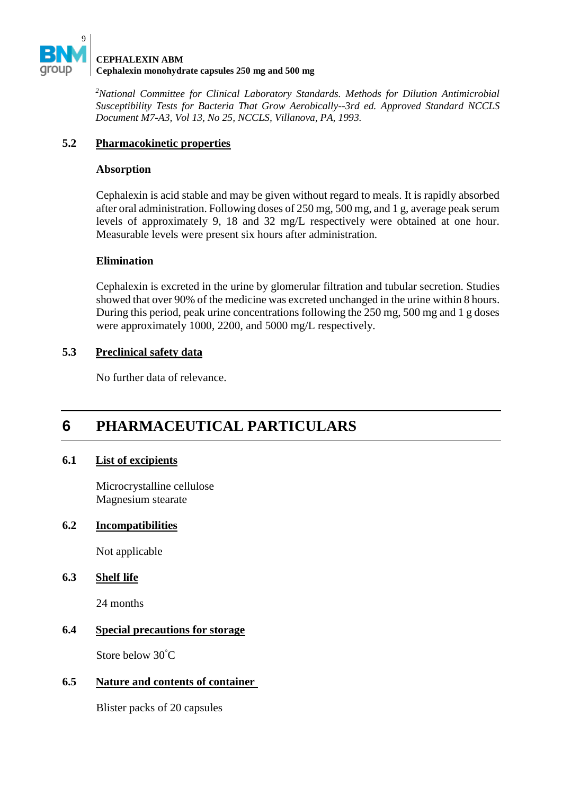

*<sup>2</sup>National Committee for Clinical Laboratory Standards. Methods for Dilution Antimicrobial Susceptibility Tests for Bacteria That Grow Aerobically--3rd ed. Approved Standard NCCLS Document M7-A3, Vol 13, No 25, NCCLS, Villanova, PA, 1993.* 

## **5.2 Pharmacokinetic properties**

### **Absorption**

Cephalexin is acid stable and may be given without regard to meals. It is rapidly absorbed after oral administration. Following doses of 250 mg, 500 mg, and 1 g, average peak serum levels of approximately 9, 18 and 32 mg/L respectively were obtained at one hour. Measurable levels were present six hours after administration.

## **Elimination**

Cephalexin is excreted in the urine by glomerular filtration and tubular secretion. Studies showed that over 90% of the medicine was excreted unchanged in the urine within 8 hours. During this period, peak urine concentrations following the 250 mg, 500 mg and 1 g doses were approximately 1000, 2200, and 5000 mg/L respectively.

## **5.3 Preclinical safety data**

No further data of relevance.

# **6 PHARMACEUTICAL PARTICULARS**

## **6.1 List of excipients**

Microcrystalline cellulose Magnesium stearate

## **6.2 Incompatibilities**

Not applicable

## **6.3 Shelf life**

24 months

## **6.4 Special precautions for storage**

Store below 30°C

## **6.5 Nature and contents of container**

Blister packs of 20 capsules